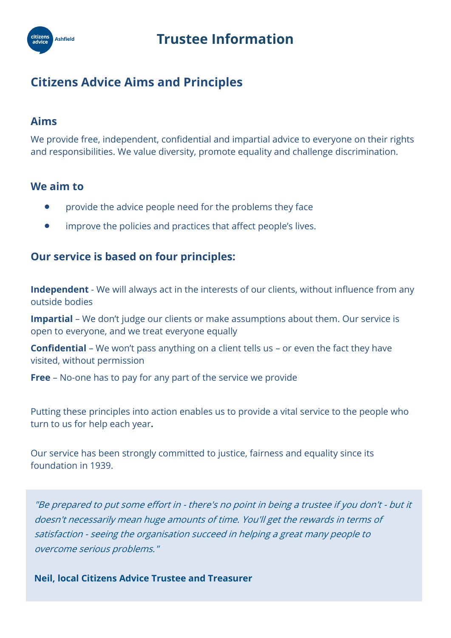

## **Citizens Advice Aims and Principles**

### **Aims**

We provide free, independent, confidential and impartial advice to everyone on their rights and responsibilities. We value diversity, promote equality and challenge discrimination.

### **We aim to**

- provide the advice people need for the problems they face
- **•** improve the policies and practices that affect people's lives.

### **Our service is based on four principles:**

**Independent** - We will always act in the interests of our clients, without influence from any outside bodies

**Impartial** – We don't judge our clients or make assumptions about them. Our service is open to everyone, and we treat everyone equally

**Confidential** – We won't pass anything on a client tells us – or even the fact they have visited, without permission

**Free** – No-one has to pay for any part of the service we provide

Putting these principles into action enables us to provide a vital service to the people who turn to us for help each year**.**

Our service has been strongly committed to justice, fairness and equality since its foundation in 1939.

"Be prepared to put some effort in - there's no point in being a trustee if you don't - but it doesn't necessarily mean huge amounts of time. You'll get the rewards in terms of satisfaction - seeing the organisation succeed in helping a great many people to overcome serious problems."

**Neil, local Citizens Advice Trustee and Treasurer**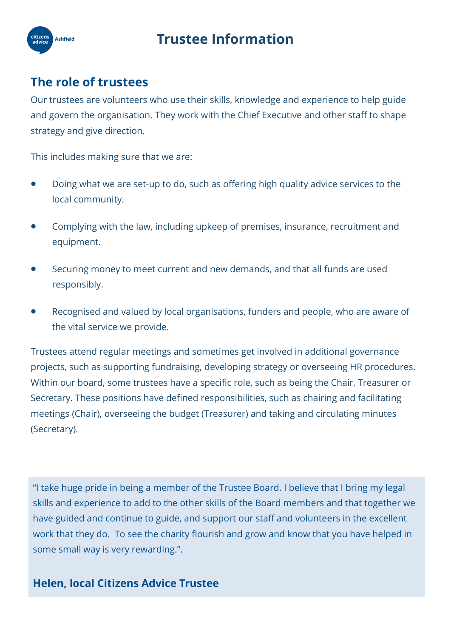## **Trustee Information**



### **The role of trustees**

Our trustees are volunteers who use their skills, knowledge and experience to help guide and govern the organisation. They work with the Chief Executive and other staff to shape strategy and give direction.

This includes making sure that we are:

- Doing what we are set-up to do, such as offering high quality advice services to the local community.
- Complying with the law, including upkeep of premises, insurance, recruitment and equipment.
- Securing money to meet current and new demands, and that all funds are used responsibly.
- Recognised and valued by local organisations, funders and people, who are aware of the vital service we provide.

Trustees attend regular meetings and sometimes get involved in additional governance projects, such as supporting fundraising, developing strategy or overseeing HR procedures. Within our board, some trustees have a specific role, such as being the Chair, Treasurer or Secretary. These positions have defined responsibilities, such as chairing and facilitating meetings (Chair), overseeing the budget (Treasurer) and taking and circulating minutes (Secretary).

"I take huge pride in being a member of the Trustee Board. I believe that I bring my legal skills and experience to add to the other skills of the Board members and that together we have guided and continue to guide, and support our staff and volunteers in the excellent work that they do. To see the charity flourish and grow and know that you have helped in some small way is very rewarding.".

### **Helen, local Citizens Advice Trustee**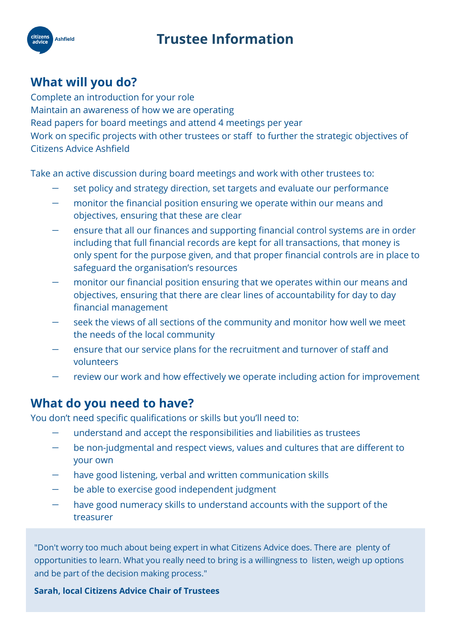## **Trustee Information**



## **What will you do?**

Complete an introduction for your role Maintain an awareness of how we are operating Read papers for board meetings and attend 4 meetings per year Work on specific projects with other trustees or staff to further the strategic objectives of Citizens Advice Ashfield

Take an active discussion during board meetings and work with other trustees to:

- set policy and strategy direction, set targets and evaluate our performance
- monitor the financial position ensuring we operate within our means and objectives, ensuring that these are clear
- ensure that all our finances and supporting financial control systems are in order including that full financial records are kept for all transactions, that money is only spent for the purpose given, and that proper financial controls are in place to safeguard the organisation's resources
- monitor our financial position ensuring that we operates within our means and objectives, ensuring that there are clear lines of accountability for day to day financial management
- seek the views of all sections of the community and monitor how well we meet the needs of the local community
- ensure that our service plans for the recruitment and turnover of staff and volunteers
- review our work and how effectively we operate including action for improvement

### **What do you need to have?**

You don't need specific qualifications or skills but you'll need to:

- understand and accept the responsibilities and liabilities as trustees
- be non-judgmental and respect views, values and cultures that are different to your own
- have good listening, verbal and written communication skills
- be able to exercise good independent judgment
- have good numeracy skills to understand accounts with the support of the treasurer

"Don't worry too much about being expert in what Citizens Advice does. There are plenty of opportunities to learn. What you really need to bring is a willingness to listen, weigh up options and be part of the decision making process."

#### **Sarah, local Citizens Advice Chair of Trustees**